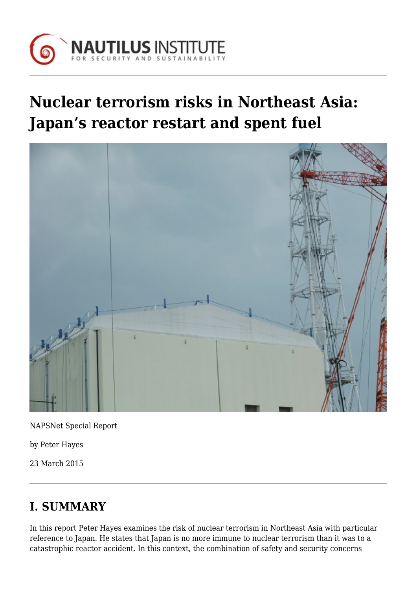

# **Nuclear terrorism risks in Northeast Asia: Japan's reactor restart and spent fuel**



NAPSNet Special Report

by Peter Hayes

23 March 2015

# **I. SUMMARY**

In this report Peter Hayes examines the risk of nuclear terrorism in Northeast Asia with particular reference to Japan. He states that Japan is no more immune to nuclear terrorism than it was to a catastrophic reactor accident. In this context, the combination of safety and security concerns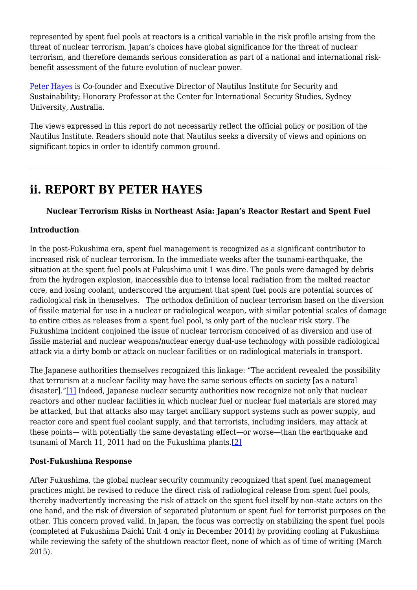represented by spent fuel pools at reactors is a critical variable in the risk profile arising from the threat of nuclear terrorism. Japan's choices have global significance for the threat of nuclear terrorism, and therefore demands serious consideration as part of a national and international riskbenefit assessment of the future evolution of nuclear power.

[Peter Hayes](http://nautilus.org/about/staff/peter-hayes/) is Co-founder and Executive Director of Nautilus Institute for Security and Sustainability; Honorary Professor at the Center for International Security Studies, Sydney University, Australia.

The views expressed in this report do not necessarily reflect the official policy or position of the Nautilus Institute. Readers should note that Nautilus seeks a diversity of views and opinions on significant topics in order to identify common ground.

### **ii. REPORT BY PETER HAYES**

#### **Nuclear Terrorism Risks in Northeast Asia: Japan's Reactor Restart and Spent Fuel**

#### **Introduction**

In the post-Fukushima era, spent fuel management is recognized as a significant contributor to increased risk of nuclear terrorism. In the immediate weeks after the tsunami-earthquake, the situation at the spent fuel pools at Fukushima unit 1 was dire. The pools were damaged by debris from the hydrogen explosion, inaccessible due to intense local radiation from the melted reactor core, and losing coolant, underscored the argument that spent fuel pools are potential sources of radiological risk in themselves. The orthodox definition of nuclear terrorism based on the diversion of fissile material for use in a nuclear or radiological weapon, with similar potential scales of damage to entire cities as releases from a spent fuel pool, is only part of the nuclear risk story. The Fukushima incident conjoined the issue of nuclear terrorism conceived of as diversion and use of fissile material and nuclear weapons/nuclear energy dual-use technology with possible radiological attack via a dirty bomb or attack on nuclear facilities or on radiological materials in transport.

The Japanese authorities themselves recognized this linkage: "The accident revealed the possibility that terrorism at a nuclear facility may have the same serious effects on society [as a natural disaster]."[\[1\]](#page-6-0) Indeed, Japanese nuclear security authorities now recognize not only that nuclear reactors and other nuclear facilities in which nuclear fuel or nuclear fuel materials are stored may be attacked, but that attacks also may target ancillary support systems such as power supply, and reactor core and spent fuel coolant supply, and that terrorists, including insiders, may attack at these points— with potentially the same devastating effect—or worse—than the earthquake and tsunami of March 11, 2011 had on the Fukushima plants.[\[2\]](#page-6-1)

#### <span id="page-1-0"></span>**Post-Fukushima Response**

After Fukushima, the global nuclear security community recognized that spent fuel management practices might be revised to reduce the direct risk of radiological release from spent fuel pools, thereby inadvertently increasing the risk of attack on the spent fuel itself by non-state actors on the one hand, and the risk of diversion of separated plutonium or spent fuel for terrorist purposes on the other. This concern proved valid. In Japan, the focus was correctly on stabilizing the spent fuel pools (completed at Fukushima Daichi Unit 4 only in December 2014) by providing cooling at Fukushima while reviewing the safety of the shutdown reactor fleet, none of which as of time of writing (March 2015).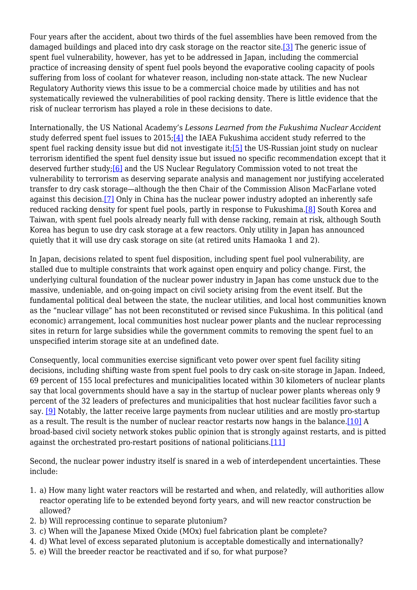<span id="page-2-0"></span>Four years after the accident, about two thirds of the fuel assemblies have been removed from the damaged buildings and placed into dry cask storage on the reactor site[.\[3\]](#page-6-2) The generic issue of spent fuel vulnerability, however, has yet to be addressed in Japan, including the commercial practice of increasing density of spent fuel pools beyond the evaporative cooling capacity of pools suffering from loss of coolant for whatever reason, including non-state attack. The new Nuclear Regulatory Authority views this issue to be a commercial choice made by utilities and has not systematically reviewed the vulnerabilities of pool racking density. There is little evidence that the risk of nuclear terrorism has played a role in these decisions to date.

<span id="page-2-3"></span><span id="page-2-2"></span><span id="page-2-1"></span>Internationally, the US National Academy's *Lessons Learned from the Fukushima Nuclear Accident* study deferred spent fuel issues to 2015;<sup>[4]</sup> the IAEA Fukushima accident study referred to the spent fuel racking density issue but did not investigate it[;\[5\]](#page-6-4) the US-Russian joint study on nuclear terrorism identified the spent fuel density issue but issued no specific recommendation except that it deserved further study;[\[6\]](#page-7-0) and the US Nuclear Regulatory Commission voted to not treat the vulnerability to terrorism as deserving separate analysis and management nor justifying accelerated transfer to dry cask storage—although the then Chair of the Commission Alison MacFarlane voted against this decision.[\[7\]](#page-7-1) Only in China has the nuclear power industry adopted an inherently safe reduced racking density for spent fuel pools, partly in response to Fukushima[.\[8\]](#page-7-2) South Korea and Taiwan, with spent fuel pools already nearly full with dense racking, remain at risk, although South Korea has begun to use dry cask storage at a few reactors. Only utility in Japan has announced quietly that it will use dry cask storage on site (at retired units Hamaoka 1 and 2).

<span id="page-2-5"></span><span id="page-2-4"></span>In Japan, decisions related to spent fuel disposition, including spent fuel pool vulnerability, are stalled due to multiple constraints that work against open enquiry and policy change. First, the underlying cultural foundation of the nuclear power industry in Japan has come unstuck due to the massive, undeniable, and on-going impact on civil society arising from the event itself. But the fundamental political deal between the state, the nuclear utilities, and local host communities known as the "nuclear village" has not been reconstituted or revised since Fukushima. In this political (and economic) arrangement, local communities host nuclear power plants and the nuclear reprocessing sites in return for large subsidies while the government commits to removing the spent fuel to an unspecified interim storage site at an undefined date.

Consequently, local communities exercise significant veto power over spent fuel facility siting decisions, including shifting waste from spent fuel pools to dry cask on-site storage in Japan. Indeed, 69 percent of 155 local prefectures and municipalities located within 30 kilometers of nuclear plants say that local governments should have a say in the startup of nuclear power plants whereas only 9 percent of the 32 leaders of prefectures and municipalities that host nuclear facilities favor such a say. [\[9\]](#page-7-3) Notably, the latter receive large payments from nuclear utilities and are mostly pro-startup as a result. The result is the number of nuclear reactor restarts now hangs in the balance.[\[10\]](#page-7-4) A broad-based civil society network stokes public opinion that is strongly against restarts, and is pitted against the orchestrated pro-restart positions of national politicians.[\[11\]](#page-7-5)

<span id="page-2-8"></span><span id="page-2-7"></span><span id="page-2-6"></span>Second, the nuclear power industry itself is snared in a web of interdependent uncertainties. These include:

- 1. a) How many light water reactors will be restarted and when, and relatedly, will authorities allow reactor operating life to be extended beyond forty years, and will new reactor construction be allowed?
- 2. b) Will reprocessing continue to separate plutonium?
- 3. c) When will the Japanese Mixed Oxide (MOx) fuel fabrication plant be complete?
- 4. d) What level of excess separated plutonium is acceptable domestically and internationally?
- 5. e) Will the breeder reactor be reactivated and if so, for what purpose?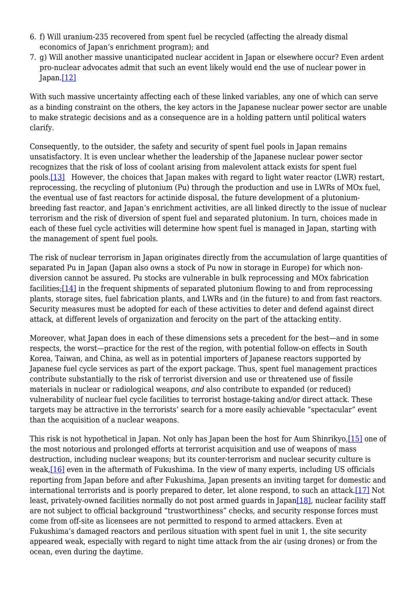- 6. f) Will uranium-235 recovered from spent fuel be recycled (affecting the already dismal economics of Japan's enrichment program); and
- 7. g) Will another massive unanticipated nuclear accident in Japan or elsewhere occur? Even ardent pro-nuclear advocates admit that such an event likely would end the use of nuclear power in Japan[.\[12\]](#page-7-6)

<span id="page-3-0"></span>With such massive uncertainty affecting each of these linked variables, any one of which can serve as a binding constraint on the others, the key actors in the Japanese nuclear power sector are unable to make strategic decisions and as a consequence are in a holding pattern until political waters clarify.

<span id="page-3-1"></span>Consequently, to the outsider, the safety and security of spent fuel pools in Japan remains unsatisfactory. It is even unclear whether the leadership of the Japanese nuclear power sector recognizes that the risk of loss of coolant arising from malevolent attack exists for spent fuel pools[.\[13\]](#page-7-7) However, the choices that Japan makes with regard to light water reactor (LWR) restart, reprocessing, the recycling of plutonium (Pu) through the production and use in LWRs of MOx fuel, the eventual use of fast reactors for actinide disposal, the future development of a plutoniumbreeding fast reactor, and Japan's enrichment activities, are all linked directly to the issue of nuclear terrorism and the risk of diversion of spent fuel and separated plutonium. In turn, choices made in each of these fuel cycle activities will determine how spent fuel is managed in Japan, starting with the management of spent fuel pools.

<span id="page-3-2"></span>The risk of nuclear terrorism in Japan originates directly from the accumulation of large quantities of separated Pu in Japan (Japan also owns a stock of Pu now in storage in Europe) for which nondiversion cannot be assured. Pu stocks are vulnerable in bulk reprocessing and MOx fabrication facilities;[\[14\]](#page-7-8) in the frequent shipments of separated plutonium flowing to and from reprocessing plants, storage sites, fuel fabrication plants, and LWRs and (in the future) to and from fast reactors. Security measures must be adopted for each of these activities to deter and defend against direct attack, at different levels of organization and ferocity on the part of the attacking entity.

Moreover, what Japan does in each of these dimensions sets a precedent for the best—and in some respects, the worst—practice for the rest of the region, with potential follow-on effects in South Korea, Taiwan, and China, as well as in potential importers of Japanese reactors supported by Japanese fuel cycle services as part of the export package. Thus, spent fuel management practices contribute substantially to the risk of terrorist diversion and use or threatened use of fissile materials in nuclear or radiological weapons, *and* also contribute to expanded (or reduced) vulnerability of nuclear fuel cycle facilities to terrorist hostage-taking and/or direct attack. These targets may be attractive in the terrorists' search for a more easily achievable "spectacular" event than the acquisition of a nuclear weapons.

<span id="page-3-6"></span><span id="page-3-5"></span><span id="page-3-4"></span><span id="page-3-3"></span>This risk is not hypothetical in Japan. Not only has Japan been the host for Aum Shinrikyo[,\[15\]](#page-8-0) one of the most notorious and prolonged efforts at terrorist acquisition and use of weapons of mass destruction, including nuclear weapons; but its counter-terrorism and nuclear security culture is weak,[\[16\]](#page-8-1) even in the aftermath of Fukushima. In the view of many experts, including US officials reporting from Japan before and after Fukushima, Japan presents an inviting target for domestic and international terrorists and is poorly prepared to deter, let alone respond, to such an attack[.\[17\]](#page-8-2) Not least, privately-owned facilities normally do not post armed guards in Japan[\[18\],](#page-8-3) nuclear facility staff are not subject to official background "trustworthiness" checks, and security response forces must come from off-site as licensees are not permitted to respond to armed attackers. Even at Fukushima's damaged reactors and perilous situation with spent fuel in unit 1, the site security appeared weak, especially with regard to night time attack from the air (using drones) or from the ocean, even during the daytime.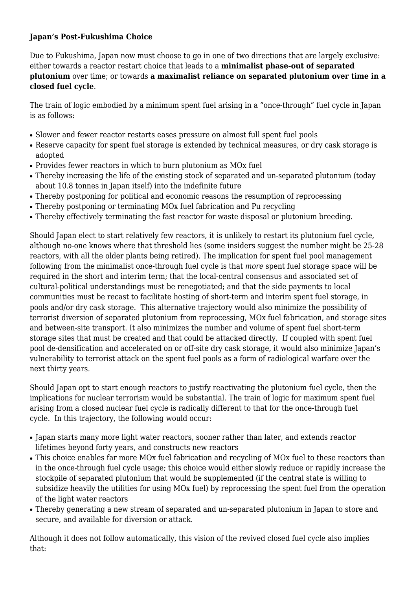#### **Japan's Post-Fukushima Choice**

Due to Fukushima, Japan now must choose to go in one of two directions that are largely exclusive: either towards a reactor restart choice that leads to a **minimalist phase-out of separated plutonium** over time; or towards **a maximalist reliance on separated plutonium over time in a closed fuel cycle**.

The train of logic embodied by a minimum spent fuel arising in a "once-through" fuel cycle in Japan is as follows:

- Slower and fewer reactor restarts eases pressure on almost full spent fuel pools
- Reserve capacity for spent fuel storage is extended by technical measures, or dry cask storage is adopted
- Provides fewer reactors in which to burn plutonium as MOx fuel
- Thereby increasing the life of the existing stock of separated and un-separated plutonium (todav about 10.8 tonnes in Japan itself) into the indefinite future
- Thereby postponing for political and economic reasons the resumption of reprocessing
- Thereby postponing or terminating MOx fuel fabrication and Pu recycling
- Thereby effectively terminating the fast reactor for waste disposal or plutonium breeding.

Should Japan elect to start relatively few reactors, it is unlikely to restart its plutonium fuel cycle, although no-one knows where that threshold lies (some insiders suggest the number might be 25-28 reactors, with all the older plants being retired). The implication for spent fuel pool management following from the minimalist once-through fuel cycle is that *more* spent fuel storage space will be required in the short and interim term; that the local-central consensus and associated set of cultural-political understandings must be renegotiated; and that the side payments to local communities must be recast to facilitate hosting of short-term and interim spent fuel storage, in pools and/or dry cask storage. This alternative trajectory would also minimize the possibility of terrorist diversion of separated plutonium from reprocessing, MOx fuel fabrication, and storage sites and between-site transport. It also minimizes the number and volume of spent fuel short-term storage sites that must be created and that could be attacked directly. If coupled with spent fuel pool de-densification and accelerated on or off-site dry cask storage, it would also minimize Japan's vulnerability to terrorist attack on the spent fuel pools as a form of radiological warfare over the next thirty years.

Should Japan opt to start enough reactors to justify reactivating the plutonium fuel cycle, then the implications for nuclear terrorism would be substantial. The train of logic for maximum spent fuel arising from a closed nuclear fuel cycle is radically different to that for the once-through fuel cycle. In this trajectory, the following would occur:

- Japan starts many more light water reactors, sooner rather than later, and extends reactor lifetimes beyond forty years, and constructs new reactors
- This choice enables far more MOx fuel fabrication and recycling of MOx fuel to these reactors than in the once-through fuel cycle usage; this choice would either slowly reduce or rapidly increase the stockpile of separated plutonium that would be supplemented (if the central state is willing to subsidize heavily the utilities for using MOx fuel) by reprocessing the spent fuel from the operation of the light water reactors
- Thereby generating a new stream of separated and un-separated plutonium in Japan to store and secure, and available for diversion or attack.

Although it does not follow automatically, this vision of the revived closed fuel cycle also implies that: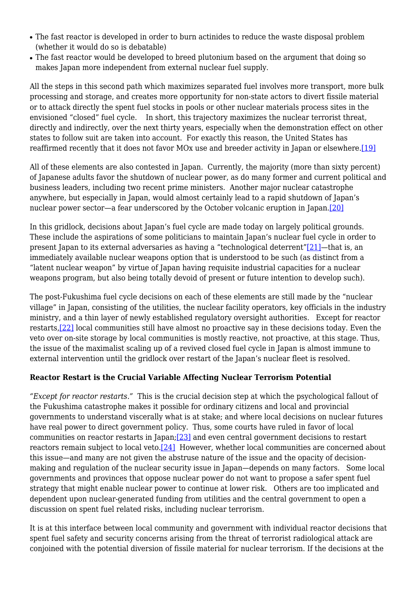- The fast reactor is developed in order to burn actinides to reduce the waste disposal problem (whether it would do so is debatable)
- The fast reactor would be developed to breed plutonium based on the argument that doing so makes Japan more independent from external nuclear fuel supply.

All the steps in this second path which maximizes separated fuel involves more transport, more bulk processing and storage, and creates more opportunity for non-state actors to divert fissile material or to attack directly the spent fuel stocks in pools or other nuclear materials process sites in the envisioned "closed" fuel cycle. In short, this trajectory maximizes the nuclear terrorist threat, directly and indirectly, over the next thirty years, especially when the demonstration effect on other states to follow suit are taken into account. For exactly this reason, the United States has reaffirmed recently that it does not favor MOx use and breeder activity in Japan or elsewhere[.\[19\]](#page-8-4)

<span id="page-5-0"></span>All of these elements are also contested in Japan. Currently, the majority (more than sixty percent) of Japanese adults favor the shutdown of nuclear power, as do many former and current political and business leaders, including two recent prime ministers. Another major nuclear catastrophe anywhere, but especially in Japan, would almost certainly lead to a rapid shutdown of Japan's nuclear power sector—a fear underscored by the October volcanic eruption in Japan[.\[20\]](#page-8-5)

<span id="page-5-2"></span><span id="page-5-1"></span>In this gridlock, decisions about Japan's fuel cycle are made today on largely political grounds. These include the aspirations of some politicians to maintain Japan's nuclear fuel cycle in order to present Japan to its external adversaries as having a "technological deterrent["\[21\]](#page-8-6)—that is, an immediately available nuclear weapons option that is understood to be such (as distinct from a "latent nuclear weapon" by virtue of Japan having requisite industrial capacities for a nuclear weapons program, but also being totally devoid of present or future intention to develop such).

<span id="page-5-3"></span>The post-Fukushima fuel cycle decisions on each of these elements are still made by the "nuclear village" in Japan, consisting of the utilities, the nuclear facility operators, key officials in the industry ministry, and a thin layer of newly established regulatory oversight authorities. Except for reactor restarts,[\[22\]](#page-9-0) local communities still have almost no proactive say in these decisions today. Even the veto over on-site storage by local communities is mostly reactive, not proactive, at this stage. Thus, the issue of the maximalist scaling up of a revived closed fuel cycle in Japan is almost immune to external intervention until the gridlock over restart of the Japan's nuclear fleet is resolved.

#### **Reactor Restart is the Crucial Variable Affecting Nuclear Terrorism Potential**

<span id="page-5-5"></span><span id="page-5-4"></span>*"Except for reactor restarts."* This is the crucial decision step at which the psychological fallout of the Fukushima catastrophe makes it possible for ordinary citizens and local and provincial governments to understand viscerally what is at stake; and where local decisions on nuclear futures have real power to direct government policy. Thus, some courts have ruled in favor of local communities on reactor restarts in Japan[;\[23\]](#page-9-1) and even central government decisions to restart reactors remain subject to local veto.[\[24\]](#page-9-2) However, whether local communities are concerned about this issue—and many are not given the abstruse nature of the issue and the opacity of decisionmaking and regulation of the nuclear security issue in Japan—depends on many factors. Some local governments and provinces that oppose nuclear power do not want to propose a safer spent fuel strategy that might enable nuclear power to continue at lower risk. Others are too implicated and dependent upon nuclear-generated funding from utilities and the central government to open a discussion on spent fuel related risks, including nuclear terrorism.

It is at this interface between local community and government with individual reactor decisions that spent fuel safety and security concerns arising from the threat of terrorist radiological attack are conjoined with the potential diversion of fissile material for nuclear terrorism. If the decisions at the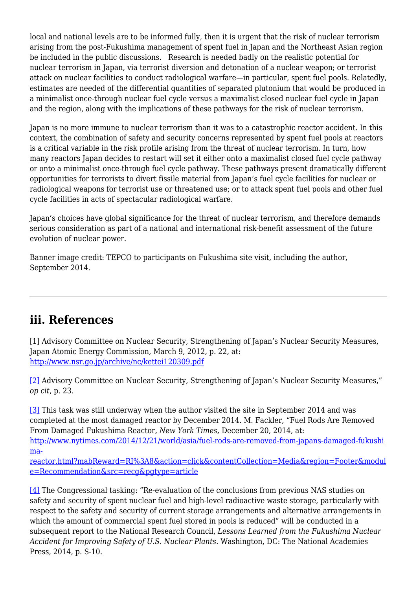local and national levels are to be informed fully, then it is urgent that the risk of nuclear terrorism arising from the post-Fukushima management of spent fuel in Japan and the Northeast Asian region be included in the public discussions. Research is needed badly on the realistic potential for nuclear terrorism in Japan, via terrorist diversion and detonation of a nuclear weapon; or terrorist attack on nuclear facilities to conduct radiological warfare—in particular, spent fuel pools. Relatedly, estimates are needed of the differential quantities of separated plutonium that would be produced in a minimalist once-through nuclear fuel cycle versus a maximalist closed nuclear fuel cycle in Japan and the region, along with the implications of these pathways for the risk of nuclear terrorism.

Japan is no more immune to nuclear terrorism than it was to a catastrophic reactor accident. In this context, the combination of safety and security concerns represented by spent fuel pools at reactors is a critical variable in the risk profile arising from the threat of nuclear terrorism. In turn, how many reactors Japan decides to restart will set it either onto a maximalist closed fuel cycle pathway or onto a minimalist once-through fuel cycle pathway. These pathways present dramatically different opportunities for terrorists to divert fissile material from Japan's fuel cycle facilities for nuclear or radiological weapons for terrorist use or threatened use; or to attack spent fuel pools and other fuel cycle facilities in acts of spectacular radiological warfare.

Japan's choices have global significance for the threat of nuclear terrorism, and therefore demands serious consideration as part of a national and international risk-benefit assessment of the future evolution of nuclear power.

Banner image credit: TEPCO to participants on Fukushima site visit, including the author, September 2014.

# <span id="page-6-0"></span>**iii. References**

[1] Advisory Committee on Nuclear Security, Strengthening of Japan's Nuclear Security Measures, Japan Atomic Energy Commission, March 9, 2012, p. 22, at: <http://www.nsr.go.jp/archive/nc/kettei120309.pdf>

<span id="page-6-1"></span>[\[2\]](#page-1-0) Advisory Committee on Nuclear Security, Strengthening of Japan's Nuclear Security Measures," *op cit*, p. 23.

<span id="page-6-2"></span>[\[3\]](#page-2-0) This task was still underway when the author visited the site in September 2014 and was completed at the most damaged reactor by December 2014. M. Fackler, "Fuel Rods Are Removed From Damaged Fukushima Reactor, *New York Times,* December 20, 2014, at: [http://www.nytimes.com/2014/12/21/world/asia/fuel-rods-are-removed-from-japans-damaged-fukushi](http://www.nytimes.com/2014/12/21/world/asia/fuel-rods-are-removed-from-japans-damaged-fukushima-reactor.html?mabReward=RI:8&action=click&contentCollection=Media®ion=Footer&module=Recommendation&src=recg&pgtype=article) [ma-](http://www.nytimes.com/2014/12/21/world/asia/fuel-rods-are-removed-from-japans-damaged-fukushima-reactor.html?mabReward=RI:8&action=click&contentCollection=Media®ion=Footer&module=Recommendation&src=recg&pgtype=article)

[reactor.html?mabReward=RI%3A8&action=click&contentCollection=Media&region=Footer&modul](http://www.nytimes.com/2014/12/21/world/asia/fuel-rods-are-removed-from-japans-damaged-fukushima-reactor.html?mabReward=RI:8&action=click&contentCollection=Media®ion=Footer&module=Recommendation&src=recg&pgtype=article) [e=Recommendation&src=recg&pgtype=article](http://www.nytimes.com/2014/12/21/world/asia/fuel-rods-are-removed-from-japans-damaged-fukushima-reactor.html?mabReward=RI:8&action=click&contentCollection=Media®ion=Footer&module=Recommendation&src=recg&pgtype=article)

<span id="page-6-4"></span><span id="page-6-3"></span>[\[4\]](#page-2-1) The Congressional tasking: "Re-evaluation of the conclusions from previous NAS studies on safety and security of spent nuclear fuel and high-level radioactive waste storage, particularly with respect to the safety and security of current storage arrangements and alternative arrangements in which the amount of commercial spent fuel stored in pools is reduced" will be conducted in a subsequent report to the National Research Council, *Lessons Learned from the Fukushima Nuclear Accident for Improving Safety of U.S. Nuclear Plants.* Washington, DC: The National Academies Press, 2014, p. S-10.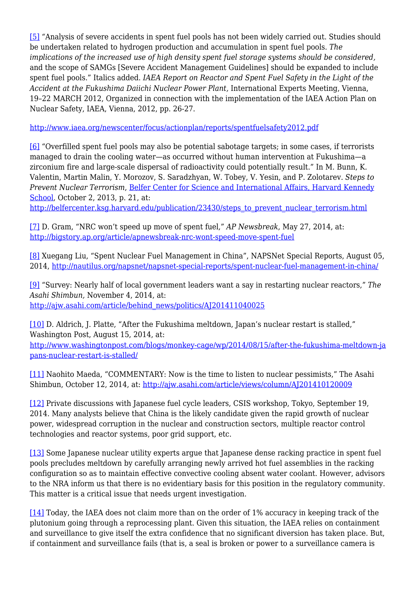[\[5\]](#page-2-2) *"*Analysis of severe accidents in spent fuel pools has not been widely carried out. Studies should be undertaken related to hydrogen production and accumulation in spent fuel pools. *The implications of the increased use of high density spent fuel storage systems should be considered,* and the scope of SAMGs [Severe Accident Management Guidelines] should be expanded to include spent fuel pools." Italics added. *IAEA Report on Reactor and Spent Fuel Safety in the Light of the Accident at the Fukushima Daiichi Nuclear Power Plant,* International Experts Meeting, Vienna, 19–22 MARCH 2012, Organized in connection with the implementation of the IAEA Action Plan on Nuclear Safety, IAEA, Vienna, 2012, pp. 26-27.

<http://www.iaea.org/newscenter/focus/actionplan/reports/spentfuelsafety2012.pdf>

<span id="page-7-0"></span>[\[6\]](#page-2-3) "Overfilled spent fuel pools may also be potential sabotage targets; in some cases, if terrorists managed to drain the cooling water—as occurred without human intervention at Fukushima—a zirconium fire and large-scale dispersal of radioactivity could potentially result." In M. Bunn, K. Valentin, Martin Malin, Y. Morozov, S. Saradzhyan, W. Tobey, V. Yesin, and P. Zolotarev. *Steps to Prevent Nuclear Terrorism*, [Belfer Center for Science and International Affairs, Harvard Kennedy](http://belfercenter.ksg.harvard.edu/index.html) [School](http://belfercenter.ksg.harvard.edu/index.html), October 2, 2013, p. 21, at:

[http://belfercenter.ksg.harvard.edu/publication/23430/steps\\_to\\_prevent\\_nuclear\\_terrorism.html](http://belfercenter.ksg.harvard.edu/publication/23430/steps_to_prevent_nuclear_terrorism.html)

<span id="page-7-1"></span>[\[7\]](#page-2-4) D. Gram, "NRC won't speed up move of spent fuel," *AP Newsbreak*, May 27, 2014, at: <http://bigstory.ap.org/article/apnewsbreak-nrc-wont-speed-move-spent-fuel>

<span id="page-7-2"></span>[\[8\]](#page-2-5) Xuegang Liu, "Spent Nuclear Fuel Management in China", NAPSNet Special Reports, August 05, 2014, <http://nautilus.org/napsnet/napsnet-special-reports/spent-nuclear-fuel-management-in-china/>

<span id="page-7-3"></span>[\[9\]](#page-2-6) "Survey: Nearly half of local government leaders want a say in restarting nuclear reactors," *The Asahi Shimbun,* November 4, 2014, at: [http://ajw.asahi.com/article/behind\\_news/politics/AJ201411040025](http://ajw.asahi.com/article/behind_news/politics/AJ201411040025)

<span id="page-7-4"></span>[\[10\]](#page-2-7) D. Aldrich, J. Platte, "After the Fukushima meltdown, Japan's nuclear restart is stalled," Washington Post, August 15, 2014, at: [http://www.washingtonpost.com/blogs/monkey-cage/wp/2014/08/15/after-the-fukushima-meltdown-ja](http://www.washingtonpost.com/blogs/monkey-cage/wp/2014/08/15/after-the-fukushima-meltdown-japans-nuclear-restart-is-stalled/) [pans-nuclear-restart-is-stalled/](http://www.washingtonpost.com/blogs/monkey-cage/wp/2014/08/15/after-the-fukushima-meltdown-japans-nuclear-restart-is-stalled/)

<span id="page-7-5"></span>[\[11\]](#page-2-8) Naohito Maeda, "COMMENTARY: Now is the time to listen to nuclear pessimists," The Asahi Shimbun, October 12, 2014, at: <http://ajw.asahi.com/article/views/column/AJ201410120009>

<span id="page-7-6"></span>[\[12\]](#page-3-0) Private discussions with Japanese fuel cycle leaders, CSIS workshop, Tokyo, September 19, 2014. Many analysts believe that China is the likely candidate given the rapid growth of nuclear power, widespread corruption in the nuclear and construction sectors, multiple reactor control technologies and reactor systems, poor grid support, etc.

<span id="page-7-7"></span>[\[13\]](#page-3-1) Some Japanese nuclear utility experts argue that Japanese dense racking practice in spent fuel pools precludes meltdown by carefully arranging newly arrived hot fuel assemblies in the racking configuration so as to maintain effective convective cooling absent water coolant. However, advisors to the NRA inform us that there is no evidentiary basis for this position in the regulatory community. This matter is a critical issue that needs urgent investigation.

<span id="page-7-8"></span>[\[14\]](#page-3-2) Today, the IAEA does not claim more than on the order of 1% accuracy in keeping track of the plutonium going through a reprocessing plant. Given this situation, the IAEA relies on containment and surveillance to give itself the extra confidence that no significant diversion has taken place. But, if containment and surveillance fails (that is, a seal is broken or power to a surveillance camera is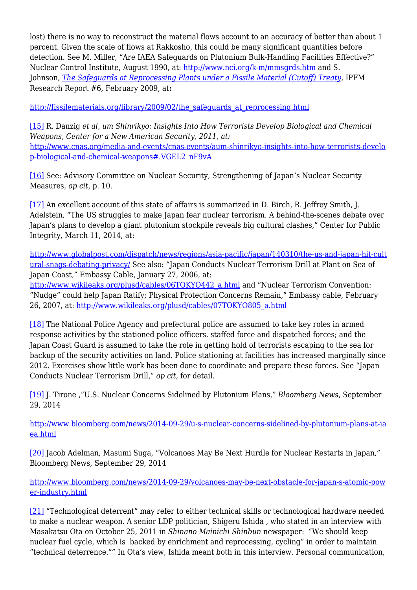lost) there is no way to reconstruct the material flows account to an accuracy of better than about 1 percent. Given the scale of flows at Rakkosho, this could be many significant quantities before detection. See M. Miller, "Are IAEA Safeguards on Plutonium Bulk-Handling Facilities Effective?" Nuclear Control Institute, August 1990, at: <http://www.nci.org/k-m/mmsgrds.htm> and S. Johnson, *[The Safeguards at Reprocessing Plants under a Fissile Material \(Cutoff\) Treaty](http://ipfmlibrary.org/rr06.pdf)*, IPFM Research Report #6, February 2009, at**:**

[http://fissilematerials.org/library/2009/02/the\\_safeguards\\_at\\_reprocessing.html](http://fissilematerials.org/library/2009/02/the_safeguards_at_reprocessing.html)

<span id="page-8-0"></span>[\[15\]](#page-3-3) R. Danzig *et al, um Shinrikyo: Insights Into How Terrorists Develop Biological and Chemical Weapons, Center for a New American Security, 2011, at:* [http://www.cnas.org/media-and-events/cnas-events/aum-shinrikyo-insights-into-how-terrorists-develo](http://www.cnas.org/media-and-events/cnas-events/aum-shinrikyo-insights-into-how-terrorists-develop-biological-and-chemical-weapons#.VGEL2_nF9vA) [p-biological-and-chemical-weapons#.VGEL2\\_nF9vA](http://www.cnas.org/media-and-events/cnas-events/aum-shinrikyo-insights-into-how-terrorists-develop-biological-and-chemical-weapons#.VGEL2_nF9vA)

<span id="page-8-1"></span>[\[16\]](#page-3-4) See: Advisory Committee on Nuclear Security, Strengthening of Japan's Nuclear Security Measures, *op cit*, p. 10.

<span id="page-8-2"></span>[\[17\]](#page-3-5) An excellent account of this state of affairs is summarized in D. Birch, R. Jeffrey Smith, J. Adelstein, "The US struggles to make Japan fear nuclear terrorism. A behind-the-scenes debate over Japan's plans to develop a giant plutonium stockpile reveals big cultural clashes," Center for Public Integrity, March 11, 2014, at:

[http://www.globalpost.com/dispatch/news/regions/asia-pacific/japan/140310/the-us-and-japan-hit-cult](http://www.globalpost.com/dispatch/news/regions/asia-pacific/japan/140310/the-us-and-japan-hit-cultural-snags-debating-privacy/) [ural-snags-debating-privacy/](http://www.globalpost.com/dispatch/news/regions/asia-pacific/japan/140310/the-us-and-japan-hit-cultural-snags-debating-privacy/) See also: "Japan Conducts Nuclear Terrorism Drill at Plant on Sea of Japan Coast," Embassy Cable, January 27, 2006, at:

[http://www.wikileaks.org/plusd/cables/06TOKYO442\\_a.html](http://www.wikileaks.org/plusd/cables/06TOKYO442_a.html) and "Nuclear Terrorism Convention: "Nudge" could help Japan Ratify; Physical Protection Concerns Remain," Embassy cable, February 26, 2007, at: [http://www.wikileaks.org/plusd/cables/07TOKYO805\\_a.html](http://www.wikileaks.org/plusd/cables/07TOKYO805_a.html)

<span id="page-8-3"></span>[\[18\]](#page-3-6) The National Police Agency and prefectural police are assumed to take key roles in armed response activities by the stationed police officers. staffed force and dispatched forces; and the Japan Coast Guard is assumed to take the role in getting hold of terrorists escaping to the sea for backup of the security activities on land. Police stationing at facilities has increased marginally since 2012. Exercises show little work has been done to coordinate and prepare these forces. See "Japan Conducts Nuclear Terrorism Drill," *op cit,* for detail.

<span id="page-8-4"></span>[\[19\]](#page-5-0) J. Tirone ,"U.S. Nuclear Concerns Sidelined by Plutonium Plans," *Bloomberg News*, September 29, 2014

[http://www.bloomberg.com/news/2014-09-29/u-s-nuclear-concerns-sidelined-by-plutonium-plans-at-ia](http://www.bloomberg.com/news/2014-09-29/u-s-nuclear-concerns-sidelined-by-plutonium-plans-at-iaea.html) [ea.html](http://www.bloomberg.com/news/2014-09-29/u-s-nuclear-concerns-sidelined-by-plutonium-plans-at-iaea.html)

<span id="page-8-5"></span>[\[20\]](#page-5-1) Jacob Adelman, Masumi Suga, "Volcanoes May Be Next Hurdle for Nuclear Restarts in Japan," Bloomberg News, September 29, 2014

[http://www.bloomberg.com/news/2014-09-29/volcanoes-may-be-next-obstacle-for-japan-s-atomic-pow](http://www.bloomberg.com/news/2014-09-29/volcanoes-may-be-next-obstacle-for-japan-s-atomic-power-industry.html) [er-industry.html](http://www.bloomberg.com/news/2014-09-29/volcanoes-may-be-next-obstacle-for-japan-s-atomic-power-industry.html)

<span id="page-8-6"></span>[\[21\]](#page-5-2) "Technological deterrent" may refer to either technical skills or technological hardware needed to make a nuclear weapon. A senior LDP politician, Shigeru Ishida , who stated in an interview with Masakatsu Ota on October 25, 2011 in *Shinano Mainichi Shinbun* newspaper: "We should keep nuclear fuel cycle, which is backed by enrichment and reprocessing, cycling" in order to maintain "technical deterrence."" In Ota's view, Ishida meant both in this interview. Personal communication,